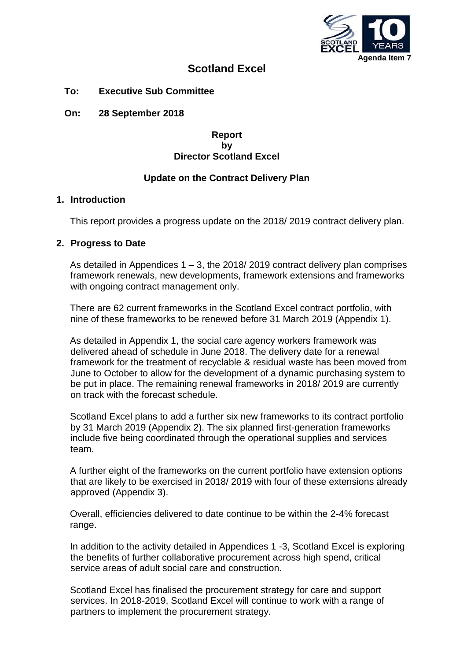

# **Scotland Excel**

**To: Executive Sub Committee**

**On: 28 September 2018**

**Report by Director Scotland Excel**

### **Update on the Contract Delivery Plan**

### **1. Introduction**

This report provides a progress update on the 2018/ 2019 contract delivery plan.

### **2. Progress to Date**

As detailed in Appendices  $1 - 3$ , the 2018/2019 contract delivery plan comprises framework renewals, new developments, framework extensions and frameworks with ongoing contract management only.

There are 62 current frameworks in the Scotland Excel contract portfolio, with nine of these frameworks to be renewed before 31 March 2019 (Appendix 1).

As detailed in Appendix 1, the social care agency workers framework was delivered ahead of schedule in June 2018. The delivery date for a renewal framework for the treatment of recyclable & residual waste has been moved from June to October to allow for the development of a dynamic purchasing system to be put in place. The remaining renewal frameworks in 2018/ 2019 are currently on track with the forecast schedule.

Scotland Excel plans to add a further six new frameworks to its contract portfolio by 31 March 2019 (Appendix 2). The six planned first-generation frameworks include five being coordinated through the operational supplies and services team.

A further eight of the frameworks on the current portfolio have extension options that are likely to be exercised in 2018/ 2019 with four of these extensions already approved (Appendix 3).

Overall, efficiencies delivered to date continue to be within the 2-4% forecast range.

In addition to the activity detailed in Appendices 1 -3, Scotland Excel is exploring the benefits of further collaborative procurement across high spend, critical service areas of adult social care and construction.

Scotland Excel has finalised the procurement strategy for care and support services. In 2018-2019, Scotland Excel will continue to work with a range of partners to implement the procurement strategy.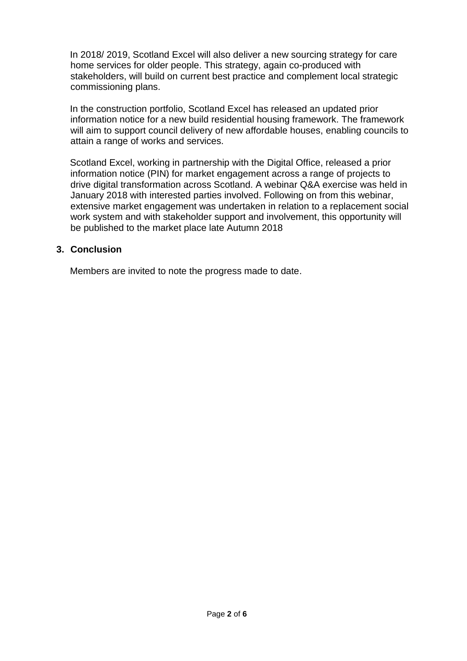In 2018/ 2019, Scotland Excel will also deliver a new sourcing strategy for care home services for older people. This strategy, again co-produced with stakeholders, will build on current best practice and complement local strategic commissioning plans.

In the construction portfolio, Scotland Excel has released an updated prior information notice for a new build residential housing framework. The framework will aim to support council delivery of new affordable houses, enabling councils to attain a range of works and services.

Scotland Excel, working in partnership with the Digital Office, released a prior information notice (PIN) for market engagement across a range of projects to drive digital transformation across Scotland. A webinar Q&A exercise was held in January 2018 with interested parties involved. Following on from this webinar, extensive market engagement was undertaken in relation to a replacement social work system and with stakeholder support and involvement, this opportunity will be published to the market place late Autumn 2018

### **3. Conclusion**

Members are invited to note the progress made to date.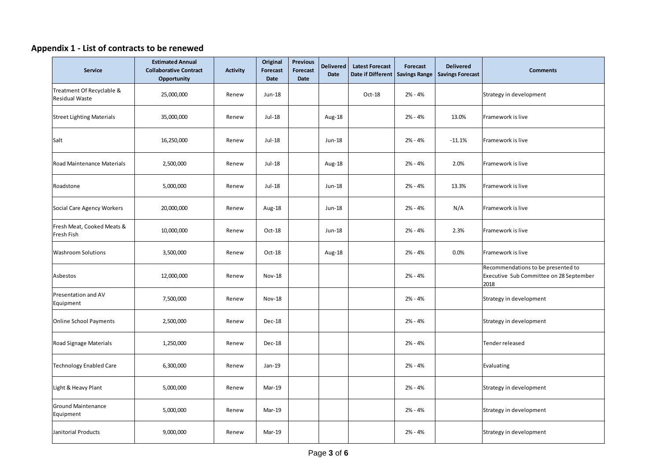# **Appendix 1 - List of contracts to be renewed**

| <b>Service</b>                                     | <b>Estimated Annual</b><br><b>Collaborative Contract</b><br><b>Opportunity</b> | <b>Activity</b> | Original<br>Forecast<br><b>Date</b> | <b>Previous</b><br>Forecast<br>Date | <b>Delivered</b><br><b>Date</b> | <b>Latest Forecast</b><br>Date if Different Savings Range | Forecast  | <b>Delivered</b><br><b>Savings Forecast</b> | <b>Comments</b>                                                                       |
|----------------------------------------------------|--------------------------------------------------------------------------------|-----------------|-------------------------------------|-------------------------------------|---------------------------------|-----------------------------------------------------------|-----------|---------------------------------------------|---------------------------------------------------------------------------------------|
| Treatment Of Recyclable &<br><b>Residual Waste</b> | 25,000,000                                                                     | Renew           | Jun-18                              |                                     |                                 | Oct-18                                                    | $2% - 4%$ |                                             | Strategy in development                                                               |
| <b>Street Lighting Materials</b>                   | 35,000,000                                                                     | Renew           | Jul-18                              |                                     | Aug-18                          |                                                           | $2% - 4%$ | 13.0%                                       | Framework is live                                                                     |
| Salt                                               | 16,250,000                                                                     | Renew           | Jul-18                              |                                     | Jun-18                          |                                                           | $2% - 4%$ | $-11.1%$                                    | Framework is live                                                                     |
| Road Maintenance Materials                         | 2,500,000                                                                      | Renew           | Jul-18                              |                                     | Aug-18                          |                                                           | 2% - 4%   | 2.0%                                        | Framework is live                                                                     |
| Roadstone                                          | 5,000,000                                                                      | Renew           | Jul-18                              |                                     | Jun-18                          |                                                           | 2% - 4%   | 13.3%                                       | Framework is live                                                                     |
| Social Care Agency Workers                         | 20,000,000                                                                     | Renew           | Aug-18                              |                                     | Jun-18                          |                                                           | 2% - 4%   | N/A                                         | Framework is live                                                                     |
| Fresh Meat, Cooked Meats &<br>Fresh Fish           | 10,000,000                                                                     | Renew           | Oct-18                              |                                     | Jun-18                          |                                                           | 2% - 4%   | 2.3%                                        | Framework is live                                                                     |
| <b>Washroom Solutions</b>                          | 3,500,000                                                                      | Renew           | Oct-18                              |                                     | Aug-18                          |                                                           | 2% - 4%   | 0.0%                                        | Framework is live                                                                     |
| Asbestos                                           | 12,000,000                                                                     | Renew           | <b>Nov-18</b>                       |                                     |                                 |                                                           | $2% - 4%$ |                                             | Recommendations to be presented to<br>Executive Sub Committee on 28 September<br>2018 |
| Presentation and AV<br>Equipment                   | 7,500,000                                                                      | Renew           | <b>Nov-18</b>                       |                                     |                                 |                                                           | 2% - 4%   |                                             | Strategy in development                                                               |
| <b>Online School Payments</b>                      | 2,500,000                                                                      | Renew           | Dec-18                              |                                     |                                 |                                                           | 2% - 4%   |                                             | Strategy in development                                                               |
| Road Signage Materials                             | 1,250,000                                                                      | Renew           | Dec-18                              |                                     |                                 |                                                           | 2% - 4%   |                                             | Tender released                                                                       |
| <b>Technology Enabled Care</b>                     | 6,300,000                                                                      | Renew           | Jan-19                              |                                     |                                 |                                                           | 2% - 4%   |                                             | Evaluating                                                                            |
| Light & Heavy Plant                                | 5,000,000                                                                      | Renew           | Mar-19                              |                                     |                                 |                                                           | 2% - 4%   |                                             | Strategy in development                                                               |
| <b>Ground Maintenance</b><br>Equipment             | 5,000,000                                                                      | Renew           | Mar-19                              |                                     |                                 |                                                           | 2% - 4%   |                                             | Strategy in development                                                               |
| Janitorial Products                                | 9,000,000                                                                      | Renew           | Mar-19                              |                                     |                                 |                                                           | 2% - 4%   |                                             | Strategy in development                                                               |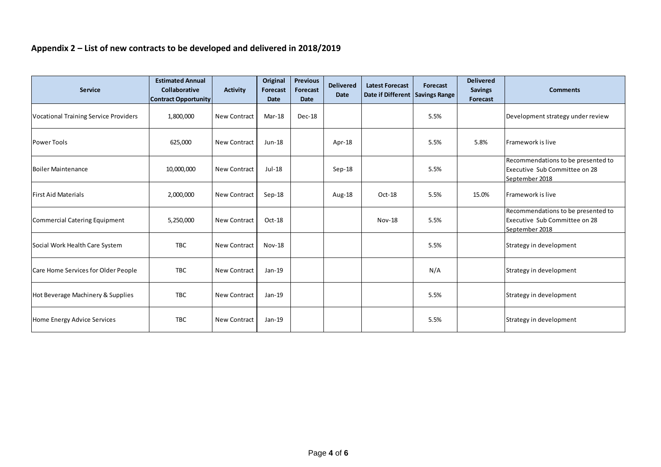## **Appendix 2 – List of new contracts to be developed and delivered in 2018/2019**

| <b>Service</b>                               | <b>Estimated Annual</b><br>Collaborative<br><b>Contract Opportunity</b> | <b>Activity</b>     | Original<br><b>Forecast</b><br><b>Date</b> | <b>Previous</b><br>Forecast<br><b>Date</b> | <b>Delivered</b><br>Date | <b>Latest Forecast</b><br>Date if Different Savings Range | Forecast | <b>Delivered</b><br><b>Savings</b><br>Forecast | <b>Comments</b>                                                                       |
|----------------------------------------------|-------------------------------------------------------------------------|---------------------|--------------------------------------------|--------------------------------------------|--------------------------|-----------------------------------------------------------|----------|------------------------------------------------|---------------------------------------------------------------------------------------|
| <b>Vocational Training Service Providers</b> | 1,800,000                                                               | <b>New Contract</b> | Mar-18                                     | <b>Dec-18</b>                              |                          |                                                           | 5.5%     |                                                | Development strategy under review                                                     |
| <b>Power Tools</b>                           | 625,000                                                                 | <b>New Contract</b> | Jun-18                                     |                                            | Apr-18                   |                                                           | 5.5%     | 5.8%                                           | Framework is live                                                                     |
| Boiler Maintenance                           | 10,000,000                                                              | <b>New Contract</b> | Jul-18                                     |                                            | Sep-18                   |                                                           | 5.5%     |                                                | Recommendations to be presented to<br>Executive Sub Committee on 28<br>September 2018 |
| <b>First Aid Materials</b>                   | 2,000,000                                                               | <b>New Contract</b> | Sep-18                                     |                                            | Aug-18                   | Oct-18                                                    | 5.5%     | 15.0%                                          | Framework is live                                                                     |
| <b>Commercial Catering Equipment</b>         | 5,250,000                                                               | <b>New Contract</b> | Oct-18                                     |                                            |                          | <b>Nov-18</b>                                             | 5.5%     |                                                | Recommendations to be presented to<br>Executive Sub Committee on 28<br>September 2018 |
| Social Work Health Care System               | <b>TBC</b>                                                              | New Contract        | <b>Nov-18</b>                              |                                            |                          |                                                           | 5.5%     |                                                | Strategy in development                                                               |
| Care Home Services for Older People          | <b>TBC</b>                                                              | New Contract        | Jan-19                                     |                                            |                          |                                                           | N/A      |                                                | Strategy in development                                                               |
| Hot Beverage Machinery & Supplies            | <b>TBC</b>                                                              | <b>New Contract</b> | Jan-19                                     |                                            |                          |                                                           | 5.5%     |                                                | Strategy in development                                                               |
| Home Energy Advice Services                  | <b>TBC</b>                                                              | New Contract        | Jan-19                                     |                                            |                          |                                                           | 5.5%     |                                                | Strategy in development                                                               |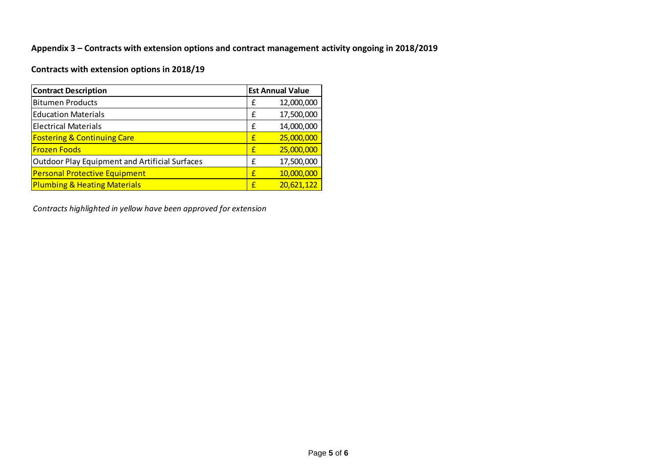### **Appendix 3 – Contracts with extension options and contract management activity ongoing in 2018/2019**

# **Contracts with extension options in 2018/19**

| <b>Contract Description</b>                           |   | <b>Est Annual Value</b> |
|-------------------------------------------------------|---|-------------------------|
| <b>Bitumen Products</b>                               | £ | 12,000,000              |
| <b>Education Materials</b>                            | £ | 17,500,000              |
| <b>Electrical Materials</b>                           | £ | 14,000,000              |
| <b>Fostering &amp; Continuing Care</b>                | £ | 25,000,000              |
| <b>Frozen Foods</b>                                   | £ | 25,000,000              |
| <b>Outdoor Play Equipment and Artificial Surfaces</b> | f | 17,500,000              |
| <b>Personal Protective Equipment</b>                  | £ | 10,000,000              |
| <b>Plumbing &amp; Heating Materials</b>               | £ | 20,621,122              |

*Contracts highlighted in yellow have been approved for extension*